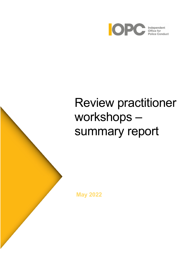

# Review practitioner workshops – summary report

**May 2022**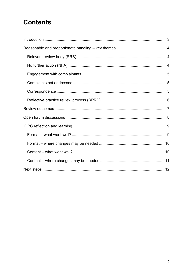# **Contents**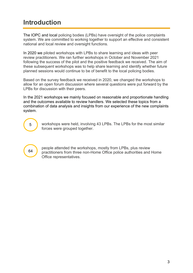# <span id="page-2-0"></span>**Introduction**

The IOPC and local policing bodies (LPBs) have oversight of the police complaints system. We are committed to working together to support an effective and consistent national and local review and oversight functions.

In 2020 we piloted workshops with LPBs to share learning and ideas with peer review practitioners. We ran further workshops in October and November 2021 following the success of the pilot and the positive feedback we received. The aim of these subsequent workshops was to help share learning and identify whether future planned sessions would continue to be of benefit to the local policing bodies.

Based on the survey feedback we received in 2020, we changed the workshops to allow for an open forum discussion where several questions were put forward by the LPBs for discussion with their peers.

In the 2021 workshops we mainly focused on reasonable and proportionate handling and the outcomes available to review handlers. We selected these topics from a combination of data analysis and insights from our experience of the new complaints system.

5

workshops were held, involving 43 LPBs. The LPBs for the most similar forces were grouped together.

64

people attended the workshops, mostly from LPBs, plus review practitioners from three non-Home Office police authorities and Home Office representatives.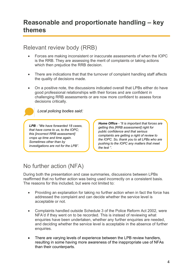### <span id="page-3-1"></span><span id="page-3-0"></span>Relevant review body (RRB)

- Forces are making inconsistent or inaccurate assessments of when the IOPC is the RRB. They are assessing the merit of complaints or taking actions which then prejudice the RRB decision.
- There are indications that that the turnover of complaint handling staff affects the quality of decisions made.
- On a positive note, the discussions indicated overall that LPBs either do have good professional relationships with their forces and are confident in challenging RRB assessments or are now more confident to assess force decisions critically.



*LPB - "We have forwarded 18 cases, that have come to us, to the IOPC; this [incorrect RRB assessment] crops up time and time again. Sometimes other than by investigations are not for the LPB".*

*Home Office - "It is important that forces are getting this [RRB assessment] right for public confidence and that serious complaints are getting a right of review to the IOPC. So, thank you to all LPBs who are pushing to the IOPC any matters that meet the test ".*

# <span id="page-3-2"></span>No further action (NFA)

During both the presentation and case summaries, discussions between LPBs reaffirmed that no further action was being used incorrectly on a consistent basis. The reasons for this included, but were not limited to:

- Providing an explanation for taking no further action when in fact the force has addressed the complaint and can decide whether the service level is acceptable or not.
- Complaints handled outside Schedule 3 of the Police Reform Act 2002, were NFA'd if they went on to be recorded. This is instead of reviewing what enquiries have been undertaken, whether any further enquiries are needed, and deciding whether the service level is acceptable in the absence of further enquiries.
- There are varying levels of experience between the LPB review handlers, resulting in some having more awareness of the inappropriate use of NFAs than their counterparts.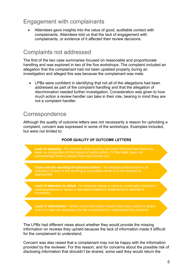## <span id="page-4-0"></span>Engagement with complainants

• Attendees gave insights into the value of good, auditable contact with complainants. Attendees told us that the lack of engagement with complainants, or evidence of it affected their review decisions.

### <span id="page-4-1"></span>Complaints not addressed

The first of the two case summaries focused on reasonable and proportionate handling and was explored in two of the five workshops. The complaint included an allegation that the complainant had not been updated properly during an investigation and alleged this was because the complainant was male.

• LPBs were confident in identifying that not all of the allegations had been addressed as part of the complaint handling and that the allegation of discrimination needed further investigation. Consideration was given to how much action a review handler can take in their role, bearing in mind they are not a complaint handler.

### <span id="page-4-2"></span>**Correspondence**

Although the quality of outcome letters was not necessarily a reason for upholding a complaint, concern was expressed in some of the workshops. Examples included, but were not limited to:

#### **POOR QUALITY OF OUTCOME LETTERS**



**Tone and the wording of outcome letters** - for example where there is an indication of bias or the wording is accusatory when it is not relevant or appropriate.

**Lack of attention to detail** - for example where a name is continually misspelt in correspondence or where a deceased relative's relationship is referred to incorrectly.

**Lack of information** - where more information would have been useful to share even if it was not necessary for the complainant to understand the outcome.

The LPBs had different views about whether they would provide the missing information on reviews they upheld because the lack of information made it difficult for the complainant to understand.

Concern was also raised that a complainant may not be happy with the information provided by the reviewer. For this reason, and for concerns about the possible risk of disclosing information that shouldn't be shared, some said they would return the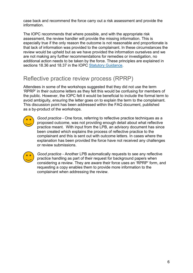case back and recommend the force carry out a risk assessment and provide the information.

The IOPC recommends that where possible, and with the appropriate risk assessment, the review handler will provide the missing information. This is especially true if the only reason the outcome is not reasonable and proportionate is that lack of information was provided to the complainant. In these circumstances the review would be upheld but as we have provided the information ourselves and we are not making any further recommendations for remedies or investigation, no additional action needs to be taken by the force. These principles are explained in sections 18.36 and 18.37 in the IOPC [Statutory Guidance.](https://www.policeconduct.gov.uk/sites/default/files/Documents/statutoryguidance/2020_statutory_guidance_english.pdf)

## <span id="page-5-0"></span>Reflective practice review process (RPRP)

Attendees in some of the workshops suggested that they did not use the term 'RPRP' in their outcome letters as they felt this would be confusing for members of the public. However, the IOPC felt it would be beneficial to include the formal term to avoid ambiguity, ensuring the letter goes on to explain the term to the complainant. This discussion point has been addressed within the FAQ document, published as a by-product of the workshops.



*Good practice* - One force, referring to reflective practice techniques as a proposed outcome, was not providing enough detail about what reflective practice meant. With input from the LPB, an advisory document has since been created which explains the process of reflective practice to the complainant and this is sent out with outcome letters. In cases where the explanation has been provided the force have not received any challenges or review submissions.



*Good practice* - Another LPB automatically requests to see any reflective practice handling as part of their request for background papers when considering a review. They are aware their force uses an 'RPRP' form, and requesting a copy enables them to provide more information to the complainant when addressing the review.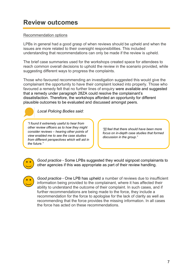# <span id="page-6-0"></span>**Review outcomes**

#### Recommendation options

LPBs in general had a good grasp of when reviews should be upheld and when the issues are more related to their oversight responsibilities. This included understanding that recommendations can only be made if the review is upheld.

The brief case summaries used for the workshops created space for attendees to reach common overall decisions to uphold the review in the scenario provided, while suggesting different ways to progress the complaints.

Those who favoured recommending an investigation suggested this would give the complainant the opportunity to have their complaint looked into properly. Those who favoured a remedy felt that no further lines of enquiry were available and suggested that a remedy under paragraph 28ZA could resolve the complainant's dissatisfaction. Therefore, the workshops afforded an opportunity for different plausible outcomes to be evaluated and discussed amongst peers.

*Local Policing Bodies said:* 

*"I found it extremely useful to hear from other review officers as to how they might consider reviews – hearing other points of view enabled me to see the case studies from different perspectives which will aid in the future."*

*"[I] feel that there should have been more focus on in-depth case studies that formed discussion in the group."*



*Good practice* - Some LPBs suggested they would signpost complainants to other agencies if this was appropriate as part of their review handling.



*Good practice* - One LPB has upheld a number of reviews due to insufficient information being provided to the complainant, where it has affected their ability to understand the outcome of their complaint. In such cases, and if further recommendations are being made to the force, they include a recommendation for the force to apologise for the lack of clarity as well as recommending that the force provides the missing information. In all cases the force has acted on these recommendations.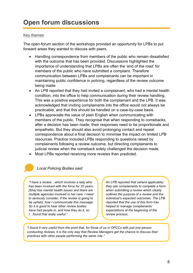#### <span id="page-7-0"></span>Key themes

The open-forum section of the workshops provided an opportunity for LPBs to put forward areas they wanted to discuss with peers.

- Handling correspondence from members of the public who remain dissatisfied with the outcome that has been provided. Discussions highlighted the importance of understanding that LPBs are often the 'end of the road' for members of the public who have submitted a complaint. Therefore communication between LPBs and complainants can be important in maintaining public confidence in policing, regardless of the review outcome being made.
- An LPB reported that they had invited a complainant, who had a mental health condition, into the office to help communication during their review handling. This was a positive experience for both the complainant and the LPB. It was acknowledged that inviting complainants into the office would not always be practicable, and that this should be handled on a case-by-case basis.
- LPBs appreciate the value of plain English when communicating with members of the public. They recognise that when responding to comebacks, after a decision has been made, their responses need to be proportionate and empathetic. But they should also avoid prolonging contact and repeat correspondence about a final decision to minimise the impact on limited LPB resources. Practice included LPBs responding to questions raised by complainants following a review outcome, but directing complainants to judicial review when the comeback solely challenged the decision made.
- Most LPBs reported receiving more reviews than predicted.

#### *Local Policing Bodies said:*

*"I have a review…which involves a lady who has been involved with the force for 25 years. [She] has mental health issues and there are multiple agencies involved in her care. I need to seriously consider, if the review is going to be upheld, how I communicate this message. So it is good to hear other review bodies have had people in, and how they do it, so I…found that really useful."*

*An LPB reported that (where applicable) they ask complainants to complete a form when submitting a review which clearly outlines the purpose of a review and the individual's expected outcomes. The LPB reported that the use of this form has helped to manage complainants' expectations at the beginning of the review process.*

*"I found it very useful from the point that, for those of us in OPCCs with just one person conducting reviews, it is the only way that Review Managers get the chance to discuss their practices with other people performing the same role."*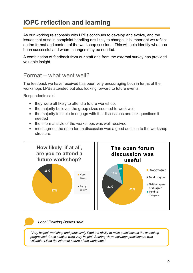# <span id="page-8-0"></span>**IOPC reflection and learning**

As our working relationship with LPBs continues to develop and evolve, and the issues that arise in complaint handling are likely to change, it is important we reflect on the format and content of the workshop sessions. This will help identify what has been successful and where changes may be needed.

A combination of feedback from our staff and from the external survey has provided valuable insight.

### <span id="page-8-1"></span>Format – what went well?

The feedback we have received has been very encouraging both in terms of the workshops LPBs attended but also looking forward to future events.

Respondents said:

- they were all likely to attend a future workshop,
- the majority believed the group sizes seemed to work well,
- the majority felt able to engage with the discussions and ask questions if needed
- the informal style of the workshops was well received
- most agreed the open forum discussion was a good addition to the workshop structure.



*Local Policing Bodies said:*

*"Very helpful workshop and particularly liked the ability to raise questions as the workshop progressed. Case studies were very helpful. Sharing views between practitioners was valuable. Liked the informal nature of the workshop."*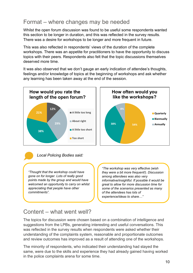# <span id="page-9-0"></span>Format – where changes may be needed

Whilst the open forum discussion was found to be useful some respondents wanted this section to be longer in duration, and this was reflected in the survey results. There was a desire for workshops to be longer and more frequent in future.

This was also reflected in respondents' views of the duration of the complete workshops. There was an appetite for practitioners to have the opportunity to discuss topics with their peers. Respondents also felt that the topic discussions themselves deserved more time.

It was also observed that we don't gauge an early indication of attendee's thoughts, feelings and/or knowledge of topics at the beginning of workshops and ask whether any learning has been taken away at the end of the session.



*Local Policing Bodies said:*

*"Thought that the workshop could have gone on for longer. Lots of really good points made by the group and would have welcomed an opportunity to carry on whilst appreciating that people have other commitments".*

*"The workshop was very effective (wish they were a bit more frequent!). Discussion among attendees was also very informative/insightful. If possible it would be great to allow for more discussion time for some of the scenarios presented as many of the attendees has lots of experience/ideas to share…"*

# <span id="page-9-1"></span>Content – what went well?

The topics for discussion were chosen based on a combination of intelligence and suggestions from the LPBs, generating interesting and useful conversations. This was reflected in the survey results when respondents were asked whether their understanding of the complaints system, reasonable and proportionate outcomes and review outcomes has improved as a result of attending one of the workshops.

The minority of respondents, who indicated their understanding had stayed the same, were due to the skills and experience they had already gained having worked in the police complaints arena for some time.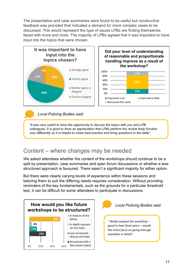The presentation and case summaries were found to be useful but constructive feedback was provided that indicated a demand for more complex cases to be discussed. This would represent the type of issues LPBs are finding themselves faced with more and more. The majority of LPBs agreed that it was important to have input into the topics that were chosen.





*Local Policing Bodies said:*

*"It was very useful to have the opportunity to discuss the topics with you and LPB colleagues. It is good to have an appreciation that LPBs perform the review body function very differently so it is helpful to share best practice and bring questions to the table".*

### <span id="page-10-0"></span>Content – where changes may be needed

We asked attendees whether the content of the workshops should continue to be a split by presentation, case summaries and open forum discussions or whether a less structured approach is favoured. There wasn't a significant majority for either option.

But there were clearly varying levels of experience within these sessions and tailoring them to suit the differing needs requires consideration. Without providing reminders of the key fundamentals, such as the grounds for a particular threshold test, it can be difficult for some attendees to participate in discussions.

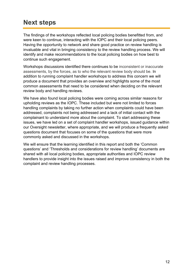# <span id="page-11-0"></span>**Next steps**

The findings of the workshops reflected local policing bodies benefitted from, and were keen to continue, interacting with the IOPC and their local policing peers. Having the opportunity to network and share good practice on review handling is invaluable and vital in bringing consistency to the review handling process. We will identify and make recommendations to the local policing bodies on how best to continue such engagement.

Workshops discussions identified there continues to be inconsistent or inaccurate assessments, by the forces, as to who the relevant review body should be. In addition to running complaint handler workshops to address this concern we will produce a document that provides an overview and highlights some of the most common assessments that need to be considered when deciding on the relevant review body and handling reviews.

We have also found local policing bodies were coming across similar reasons for upholding reviews as the IOPC. These included but were not limited to forces handling complaints by taking no further action when complaints could have been addressed, complaints not being addressed and a lack of initial contact with the complainant to understand more about the complaint. To start addressing these issues, we have led on a set of complaint handler workshops, issued guidance within our Oversight newsletter, where appropriate, and we will produce a frequently asked questions document that focuses on some of the questions that were more commonly asked and discussed in the workshops.

We will ensure that the learning identified in this report and both the 'Common questions' and 'Thresholds and considerations for review handling' documents are shared with all local policing bodies, appropriate authorities and IOPC review handlers to provide insight into the issues raised and improve consistency in both the complaint and review handling processes.